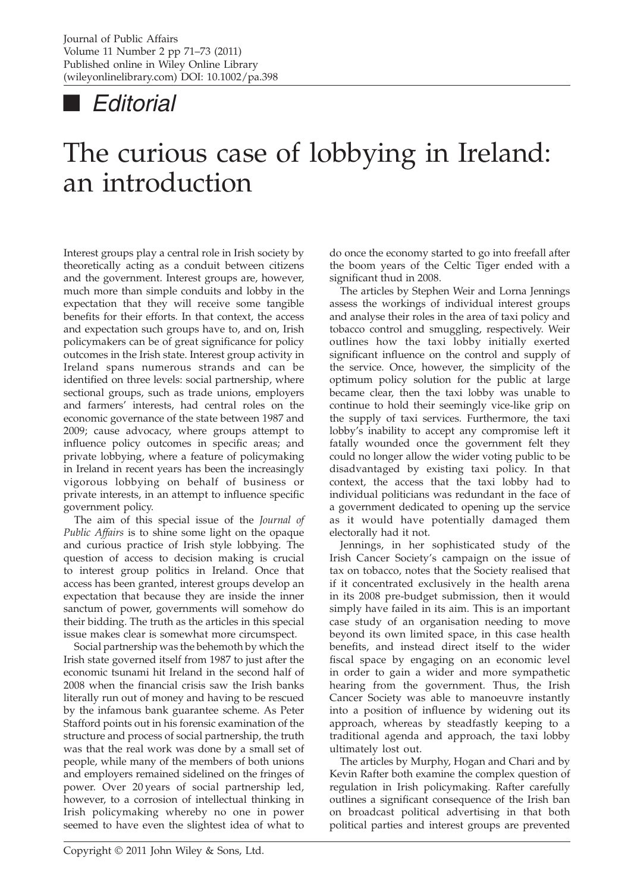## ■ Editorial

## The curious case of lobbying in Ireland: an introduction

Interest groups play a central role in Irish society by theoretically acting as a conduit between citizens and the government. Interest groups are, however, much more than simple conduits and lobby in the expectation that they will receive some tangible benefits for their efforts. In that context, the access and expectation such groups have to, and on, Irish policymakers can be of great significance for policy outcomes in the Irish state. Interest group activity in Ireland spans numerous strands and can be identified on three levels: social partnership, where sectional groups, such as trade unions, employers and farmers' interests, had central roles on the economic governance of the state between 1987 and 2009; cause advocacy, where groups attempt to influence policy outcomes in specific areas; and private lobbying, where a feature of policymaking in Ireland in recent years has been the increasingly vigorous lobbying on behalf of business or private interests, in an attempt to influence specific government policy.

The aim of this special issue of the Journal of Public Affairs is to shine some light on the opaque and curious practice of Irish style lobbying. The question of access to decision making is crucial to interest group politics in Ireland. Once that access has been granted, interest groups develop an expectation that because they are inside the inner sanctum of power, governments will somehow do their bidding. The truth as the articles in this special issue makes clear is somewhat more circumspect.

Social partnership was the behemoth by which the Irish state governed itself from 1987 to just after the economic tsunami hit Ireland in the second half of 2008 when the financial crisis saw the Irish banks literally run out of money and having to be rescued by the infamous bank guarantee scheme. As Peter Stafford points out in his forensic examination of the structure and process of social partnership, the truth was that the real work was done by a small set of people, while many of the members of both unions and employers remained sidelined on the fringes of power. Over 20 years of social partnership led, however, to a corrosion of intellectual thinking in Irish policymaking whereby no one in power seemed to have even the slightest idea of what to do once the economy started to go into freefall after the boom years of the Celtic Tiger ended with a significant thud in 2008.

The articles by Stephen Weir and Lorna Jennings assess the workings of individual interest groups and analyse their roles in the area of taxi policy and tobacco control and smuggling, respectively. Weir outlines how the taxi lobby initially exerted significant influence on the control and supply of the service. Once, however, the simplicity of the optimum policy solution for the public at large became clear, then the taxi lobby was unable to continue to hold their seemingly vice‐like grip on the supply of taxi services. Furthermore, the taxi lobby's inability to accept any compromise left it fatally wounded once the government felt they could no longer allow the wider voting public to be disadvantaged by existing taxi policy. In that context, the access that the taxi lobby had to individual politicians was redundant in the face of a government dedicated to opening up the service as it would have potentially damaged them electorally had it not.

Jennings, in her sophisticated study of the Irish Cancer Society's campaign on the issue of tax on tobacco, notes that the Society realised that if it concentrated exclusively in the health arena in its 2008 pre‐budget submission, then it would simply have failed in its aim. This is an important case study of an organisation needing to move beyond its own limited space, in this case health benefits, and instead direct itself to the wider fiscal space by engaging on an economic level in order to gain a wider and more sympathetic hearing from the government. Thus, the Irish Cancer Society was able to manoeuvre instantly into a position of influence by widening out its approach, whereas by steadfastly keeping to a traditional agenda and approach, the taxi lobby ultimately lost out.

The articles by Murphy, Hogan and Chari and by Kevin Rafter both examine the complex question of regulation in Irish policymaking. Rafter carefully outlines a significant consequence of the Irish ban on broadcast political advertising in that both political parties and interest groups are prevented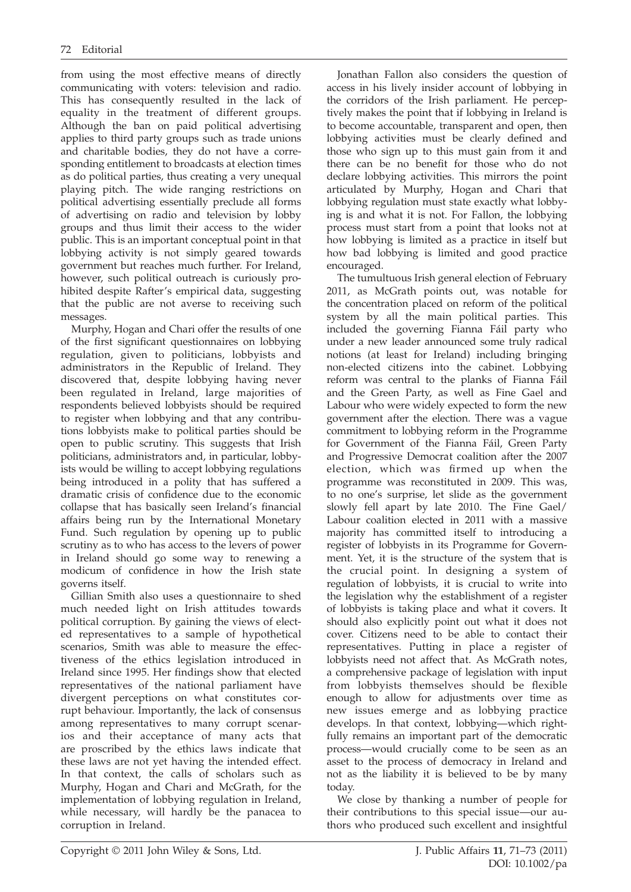from using the most effective means of directly communicating with voters: television and radio. This has consequently resulted in the lack of equality in the treatment of different groups. Although the ban on paid political advertising applies to third party groups such as trade unions and charitable bodies, they do not have a corresponding entitlement to broadcasts at election times as do political parties, thus creating a very unequal playing pitch. The wide ranging restrictions on political advertising essentially preclude all forms of advertising on radio and television by lobby groups and thus limit their access to the wider public. This is an important conceptual point in that lobbying activity is not simply geared towards government but reaches much further. For Ireland, however, such political outreach is curiously prohibited despite Rafter's empirical data, suggesting that the public are not averse to receiving such messages.

Murphy, Hogan and Chari offer the results of one of the first significant questionnaires on lobbying regulation, given to politicians, lobbyists and administrators in the Republic of Ireland. They discovered that, despite lobbying having never been regulated in Ireland, large majorities of respondents believed lobbyists should be required to register when lobbying and that any contributions lobbyists make to political parties should be open to public scrutiny. This suggests that Irish politicians, administrators and, in particular, lobbyists would be willing to accept lobbying regulations being introduced in a polity that has suffered a dramatic crisis of confidence due to the economic collapse that has basically seen Ireland's financial affairs being run by the International Monetary Fund. Such regulation by opening up to public scrutiny as to who has access to the levers of power in Ireland should go some way to renewing a modicum of confidence in how the Irish state governs itself.

Gillian Smith also uses a questionnaire to shed much needed light on Irish attitudes towards political corruption. By gaining the views of elected representatives to a sample of hypothetical scenarios, Smith was able to measure the effectiveness of the ethics legislation introduced in Ireland since 1995. Her findings show that elected representatives of the national parliament have divergent perceptions on what constitutes corrupt behaviour. Importantly, the lack of consensus among representatives to many corrupt scenarios and their acceptance of many acts that are proscribed by the ethics laws indicate that these laws are not yet having the intended effect. In that context, the calls of scholars such as Murphy, Hogan and Chari and McGrath, for the implementation of lobbying regulation in Ireland, while necessary, will hardly be the panacea to corruption in Ireland.

Jonathan Fallon also considers the question of access in his lively insider account of lobbying in the corridors of the Irish parliament. He perceptively makes the point that if lobbying in Ireland is to become accountable, transparent and open, then lobbying activities must be clearly defined and those who sign up to this must gain from it and there can be no benefit for those who do not declare lobbying activities. This mirrors the point articulated by Murphy, Hogan and Chari that lobbying regulation must state exactly what lobbying is and what it is not. For Fallon, the lobbying process must start from a point that looks not at how lobbying is limited as a practice in itself but how bad lobbying is limited and good practice encouraged.

The tumultuous Irish general election of February 2011, as McGrath points out, was notable for the concentration placed on reform of the political system by all the main political parties. This included the governing Fianna Fáil party who under a new leader announced some truly radical notions (at least for Ireland) including bringing non‐elected citizens into the cabinet. Lobbying reform was central to the planks of Fianna Fáil and the Green Party, as well as Fine Gael and Labour who were widely expected to form the new government after the election. There was a vague commitment to lobbying reform in the Programme for Government of the Fianna Fáil, Green Party and Progressive Democrat coalition after the 2007 election, which was firmed up when the programme was reconstituted in 2009. This was, to no one's surprise, let slide as the government slowly fell apart by late 2010. The Fine Gael/ Labour coalition elected in 2011 with a massive majority has committed itself to introducing a register of lobbyists in its Programme for Government. Yet, it is the structure of the system that is the crucial point. In designing a system of regulation of lobbyists, it is crucial to write into the legislation why the establishment of a register of lobbyists is taking place and what it covers. It should also explicitly point out what it does not cover. Citizens need to be able to contact their representatives. Putting in place a register of lobbyists need not affect that. As McGrath notes, a comprehensive package of legislation with input from lobbyists themselves should be flexible enough to allow for adjustments over time as new issues emerge and as lobbying practice develops. In that context, lobbying—which rightfully remains an important part of the democratic process—would crucially come to be seen as an asset to the process of democracy in Ireland and not as the liability it is believed to be by many today.

We close by thanking a number of people for their contributions to this special issue—our authors who produced such excellent and insightful